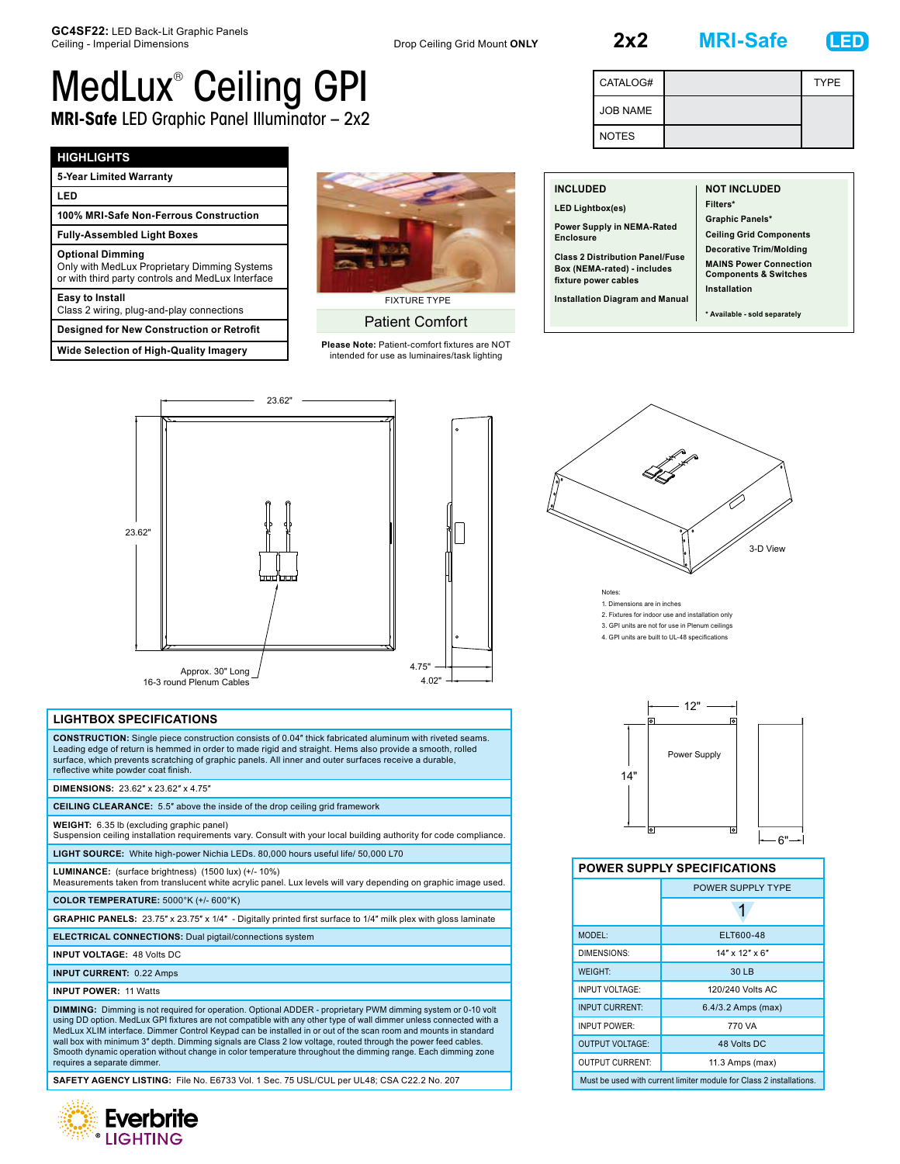JOB NAME NOTES

**2x2 MRI-Safe LED**

CATALOG# TYPE



## MedLux® Ceiling GPI **MRI-Safe** LED Graphic Panel Illuminator – 2x2

## **HIGHLIGHTS**

| 5-Year Limited Warranty                                                                                                      |  |  |
|------------------------------------------------------------------------------------------------------------------------------|--|--|
| LED                                                                                                                          |  |  |
| 100% MRI-Safe Non-Ferrous Construction                                                                                       |  |  |
| <b>Fully-Assembled Light Boxes</b>                                                                                           |  |  |
| <b>Optional Dimming</b><br>Only with MedLux Proprietary Dimming Systems<br>or with third party controls and MedLux Interface |  |  |
| <b>Easy to Install</b><br>Class 2 wiring, plug-and-play connections                                                          |  |  |
| <b>Designed for New Construction or Retrofit</b>                                                                             |  |  |
| <b>Wide Selection of High-Quality Imagery</b>                                                                                |  |  |



Patient Comfort

**Please Note:** Patient-comfort fixtures are NOT intended for use as luminaires/task lighting

| <b>INCLUDED</b><br><b>LED Lightbox(es)</b><br>Power Supply in NEMA-Rated<br><b>Enclosure</b><br><b>Class 2 Distribution Panel/Fuse</b><br>Box (NEMA-rated) - includes<br>fixture power cables<br><b>Installation Diagram and Manual</b> | <b>NOT INCLUDED</b><br>Filters*<br><b>Graphic Panels*</b><br><b>Ceiling Grid Components</b><br><b>Decorative Trim/Molding</b><br><b>MAINS Power Connection</b><br><b>Components &amp; Switches</b><br>Installation |
|-----------------------------------------------------------------------------------------------------------------------------------------------------------------------------------------------------------------------------------------|--------------------------------------------------------------------------------------------------------------------------------------------------------------------------------------------------------------------|
|                                                                                                                                                                                                                                         | * Available - sold separately                                                                                                                                                                                      |



## **LIGHTBOX SPECIFICATIONS**

**CONSTRUCTION:** Single piece construction consists of 0.04″ thick fabricated aluminum with riveted seams. Leading edge of return is hemmed in order to made rigid and straight. Hems also provide a smooth, rolled surface, which prevents scratching of graphic panels. All inner and outer surfaces receive a durable, reflective white powder coat finish.

**DIMENSIONS:** 23.62″ x 23.62″ x 4.75″

**CEILING CLEARANCE:** 5.5″ above the inside of the drop ceiling grid framework

**WEIGHT:** 6.35 lb (excluding graphic panel)

Suspension ceiling installation requirements vary. Consult with your local building authority for code compliance.

**LIGHT SOURCE:** White high-power Nichia LEDs. 80,000 hours useful life/ 50,000 L70

**LUMINANCE:** (surface brightness) (1500 lux) (+/- 10%) Measurements taken from translucent white acrylic panel. Lux levels will vary depending on graphic image used.

**COLOR TEMPERATURE:** 5000°K (+/- 600°K)

**GRAPHIC PANELS:** 23.75″ x 23.75″ x 1/4″ - Digitally printed first surface to 1/4″ milk plex with gloss laminate

**ELECTRICAL CONNECTIONS:** Dual pigtail/connections system

**INPUT VOLTAGE:** 48 Volts DC

**INPUT CURRENT:** 0.22 Amps

**INPUT POWER:** 11 Watts

**DIMMING:** Dimming is not required for operation. Optional ADDER - proprietary PWM dimming system or 0-10 volt using DD option. MedLux GPI fixtures are not compatible with any other type of wall dimmer unless connected with a MedLux XLIM interface. Dimmer Control Keypad can be installed in or out of the scan room and mounts in standard wall box with minimum 3″ depth. Dimming signals are Class 2 low voltage, routed through the power feed cables. Smooth dynamic operation without change in color temperature throughout the dimming range. Each dimming zone requires a separate dimmer.

**SAFETY AGENCY LISTING:** File No. E6733 Vol. 1 Sec. 75 USL/CUL per UL48; CSA C22.2 No. 207





## **POWER SUPPLY SPECIFICATIONS**

|                                                                     | <b>POWER SUPPLY TYPE</b> |  |
|---------------------------------------------------------------------|--------------------------|--|
|                                                                     |                          |  |
| MODEL:                                                              | ELT600-48                |  |
| DIMENSIONS:                                                         | $14"$ x $12"$ x 6"       |  |
| <b>WEIGHT:</b>                                                      | 30 LB                    |  |
| <b>INPUT VOLTAGE:</b>                                               | 120/240 Volts AC         |  |
| <b>INPUT CURRENT:</b>                                               | 6.4/3.2 Amps (max)       |  |
| <b>INPUT POWER:</b>                                                 | 770 VA                   |  |
| <b>OUTPUT VOLTAGE:</b>                                              | 48 Volts DC              |  |
| <b>OUTPUT CURRENT:</b>                                              | 11.3 Amps (max)          |  |
| Must be used with current limiter module for Class 2 installations. |                          |  |

3-D View Notes: 1. Dimensions are in inches

2. Fixtures for indoor use and installation only

3. GPI units are not for use in Plenum ceilings

4. GPI units are built to UL-48 specifications